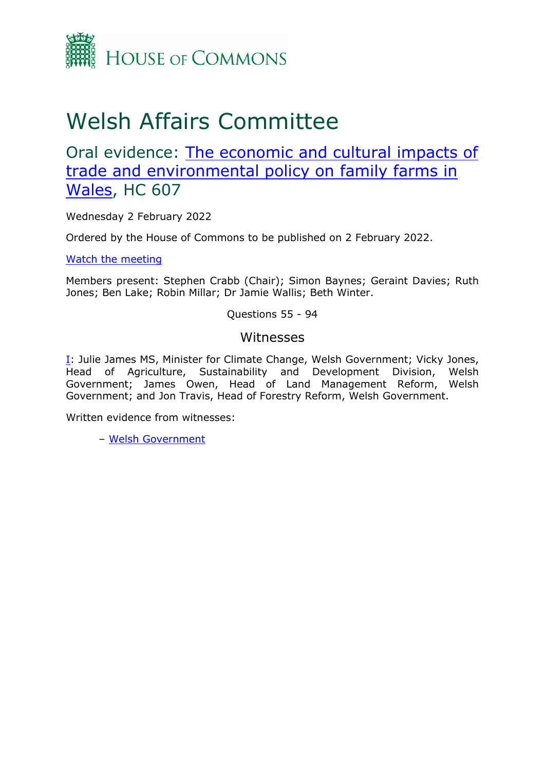

## Welsh Affairs Committee

Oral evidence: [The](https://committees.parliament.uk/work/1424/the-economic-and-cultural-impacts-of-trade-and-environmental-policy-on-family-farms-in-wales/) [economic](https://committees.parliament.uk/work/1424/the-economic-and-cultural-impacts-of-trade-and-environmental-policy-on-family-farms-in-wales/) [and](https://committees.parliament.uk/work/1424/the-economic-and-cultural-impacts-of-trade-and-environmental-policy-on-family-farms-in-wales/) [cultural](https://committees.parliament.uk/work/1424/the-economic-and-cultural-impacts-of-trade-and-environmental-policy-on-family-farms-in-wales/) [impacts](https://committees.parliament.uk/work/1424/the-economic-and-cultural-impacts-of-trade-and-environmental-policy-on-family-farms-in-wales/) [of](https://committees.parliament.uk/work/1424/the-economic-and-cultural-impacts-of-trade-and-environmental-policy-on-family-farms-in-wales/) [trade](https://committees.parliament.uk/work/1424/the-economic-and-cultural-impacts-of-trade-and-environmental-policy-on-family-farms-in-wales/) [and](https://committees.parliament.uk/work/1424/the-economic-and-cultural-impacts-of-trade-and-environmental-policy-on-family-farms-in-wales/) [environmental](https://committees.parliament.uk/work/1424/the-economic-and-cultural-impacts-of-trade-and-environmental-policy-on-family-farms-in-wales/) [policy](https://committees.parliament.uk/work/1424/the-economic-and-cultural-impacts-of-trade-and-environmental-policy-on-family-farms-in-wales/) [on](https://committees.parliament.uk/work/1424/the-economic-and-cultural-impacts-of-trade-and-environmental-policy-on-family-farms-in-wales/) [family](https://committees.parliament.uk/work/1424/the-economic-and-cultural-impacts-of-trade-and-environmental-policy-on-family-farms-in-wales/) [farms](https://committees.parliament.uk/work/1424/the-economic-and-cultural-impacts-of-trade-and-environmental-policy-on-family-farms-in-wales/) [in](https://committees.parliament.uk/work/1424/the-economic-and-cultural-impacts-of-trade-and-environmental-policy-on-family-farms-in-wales/) [Wales,](https://committees.parliament.uk/work/1424/the-economic-and-cultural-impacts-of-trade-and-environmental-policy-on-family-farms-in-wales/) HC 607

Wednesday 2 February 2022

Ordered by the House of Commons to be published on 2 February 2022.

[Watch](https://parliamentlive.tv/event/index/efde5b10-dc8c-4479-8939-0ca7e36c8300) [the](https://parliamentlive.tv/event/index/efde5b10-dc8c-4479-8939-0ca7e36c8300) [meeting](https://parliamentlive.tv/event/index/efde5b10-dc8c-4479-8939-0ca7e36c8300)

Members present: Stephen Crabb (Chair); Simon Baynes; Geraint Davies; Ruth Jones; Ben Lake; Robin Millar; Dr Jamie Wallis; Beth Winter.

Questions 55 - 94

## Witnesses

[I:](#page-1-0) Julie James MS, Minister for Climate Change, Welsh Government; Vicky Jones, Head of Agriculture, Sustainability and Development Division, Welsh Government; James Owen, Head of Land Management Reform, Welsh Government; and Jon Travis, Head of Forestry Reform, Welsh Government.

Written evidence from witnesses:

– [Welsh](https://committees.parliament.uk/writtenevidence/40189/html/) [Government](https://committees.parliament.uk/writtenevidence/40189/html/)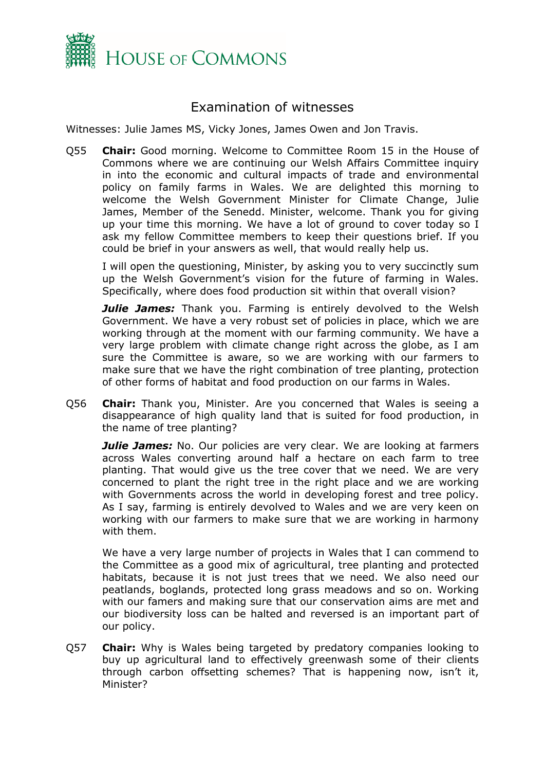

## <span id="page-1-0"></span>Examination of witnesses

Witnesses: Julie James MS, Vicky Jones, James Owen and Jon Travis.

Q55 **Chair:** Good morning. Welcome to Committee Room 15 in the House of Commons where we are continuing our Welsh Affairs Committee inquiry in into the economic and cultural impacts of trade and environmental policy on family farms in Wales. We are delighted this morning to welcome the Welsh Government Minister for Climate Change, Julie James, Member of the Senedd. Minister, welcome. Thank you for giving up your time this morning. We have a lot of ground to cover today so I ask my fellow Committee members to keep their questions brief. If you could be brief in your answers as well, that would really help us.

I will open the questioning, Minister, by asking you to very succinctly sum up the Welsh Government's vision for the future of farming in Wales. Specifically, where does food production sit within that overall vision?

**Julie James:** Thank you. Farming is entirely devolved to the Welsh Government. We have a very robust set of policies in place, which we are working through at the moment with our farming community. We have a very large problem with climate change right across the globe, as I am sure the Committee is aware, so we are working with our farmers to make sure that we have the right combination of tree planting, protection of other forms of habitat and food production on our farms in Wales.

Q56 **Chair:** Thank you, Minister. Are you concerned that Wales is seeing a disappearance of high quality land that is suited for food production, in the name of tree planting?

*Julie James:* No. Our policies are very clear. We are looking at farmers across Wales converting around half a hectare on each farm to tree planting. That would give us the tree cover that we need. We are very concerned to plant the right tree in the right place and we are working with Governments across the world in developing forest and tree policy. As I say, farming is entirely devolved to Wales and we are very keen on working with our farmers to make sure that we are working in harmony with them.

We have a very large number of projects in Wales that I can commend to the Committee as a good mix of agricultural, tree planting and protected habitats, because it is not just trees that we need. We also need our peatlands, boglands, protected long grass meadows and so on. Working with our famers and making sure that our conservation aims are met and our biodiversity loss can be halted and reversed is an important part of our policy.

Q57 **Chair:** Why is Wales being targeted by predatory companies looking to buy up agricultural land to effectively greenwash some of their clients through carbon offsetting schemes? That is happening now, isn't it, Minister?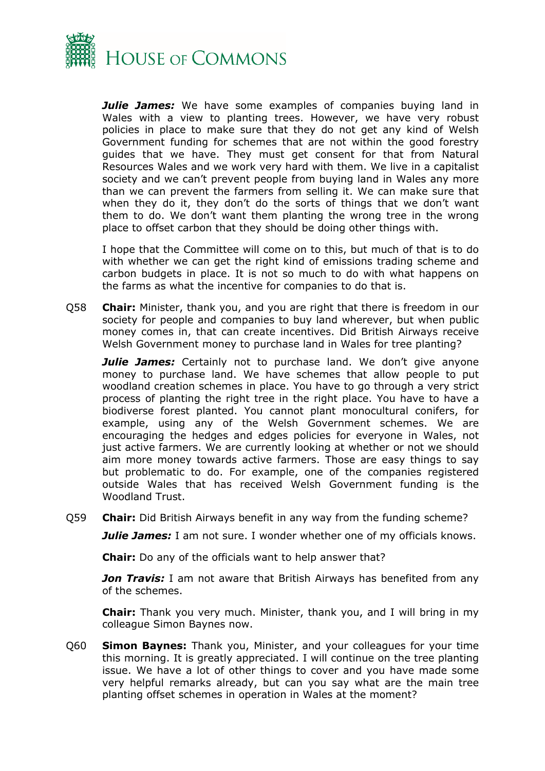

*Julie James:* We have some examples of companies buying land in Wales with a view to planting trees. However, we have very robust policies in place to make sure that they do not get any kind of Welsh Government funding for schemes that are not within the good forestry guides that we have. They must get consent for that from Natural Resources Wales and we work very hard with them. We live in a capitalist society and we can't prevent people from buying land in Wales any more than we can prevent the farmers from selling it. We can make sure that when they do it, they don't do the sorts of things that we don't want them to do. We don't want them planting the wrong tree in the wrong place to offset carbon that they should be doing other things with.

I hope that the Committee will come on to this, but much of that is to do with whether we can get the right kind of emissions trading scheme and carbon budgets in place. It is not so much to do with what happens on the farms as what the incentive for companies to do that is.

Q58 **Chair:** Minister, thank you, and you are right that there is freedom in our society for people and companies to buy land wherever, but when public money comes in, that can create incentives. Did British Airways receive Welsh Government money to purchase land in Wales for tree planting?

*Julie James:* Certainly not to purchase land. We don't give anyone money to purchase land. We have schemes that allow people to put woodland creation schemes in place. You have to go through a very strict process of planting the right tree in the right place. You have to have a biodiverse forest planted. You cannot plant monocultural conifers, for example, using any of the Welsh Government schemes. We are encouraging the hedges and edges policies for everyone in Wales, not just active farmers. We are currently looking at whether or not we should aim more money towards active farmers. Those are easy things to say but problematic to do. For example, one of the companies registered outside Wales that has received Welsh Government funding is the Woodland Trust.

Q59 **Chair:** Did British Airways benefit in any way from the funding scheme?

*Julie James:* I am not sure. I wonder whether one of my officials knows.

**Chair:** Do any of the officials want to help answer that?

**Jon Travis:** I am not aware that British Airways has benefited from any of the schemes.

**Chair:** Thank you very much. Minister, thank you, and I will bring in my colleague Simon Baynes now.

Q60 **Simon Baynes:** Thank you, Minister, and your colleagues for your time this morning. It is greatly appreciated. I will continue on the tree planting issue. We have a lot of other things to cover and you have made some very helpful remarks already, but can you say what are the main tree planting offset schemes in operation in Wales at the moment?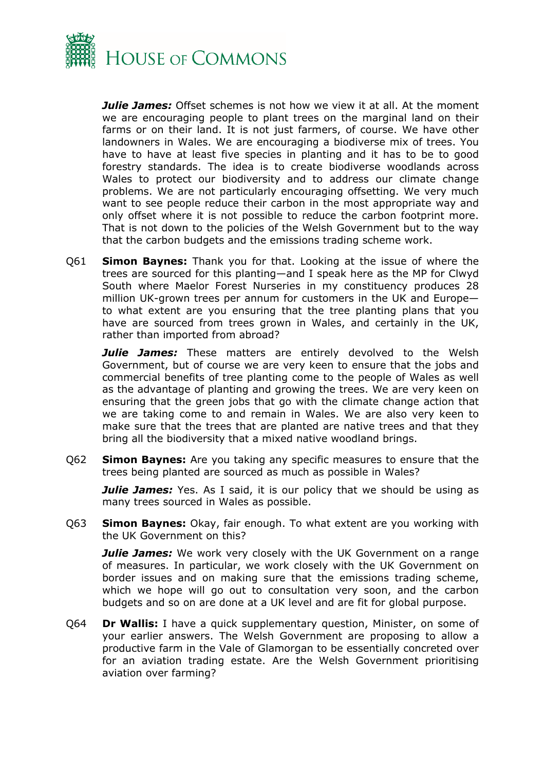

*Julie James:* Offset schemes is not how we view it at all. At the moment we are encouraging people to plant trees on the marginal land on their farms or on their land. It is not just farmers, of course. We have other landowners in Wales. We are encouraging a biodiverse mix of trees. You have to have at least five species in planting and it has to be to good forestry standards. The idea is to create biodiverse woodlands across Wales to protect our biodiversity and to address our climate change problems. We are not particularly encouraging offsetting. We very much want to see people reduce their carbon in the most appropriate way and only offset where it is not possible to reduce the carbon footprint more. That is not down to the policies of the Welsh Government but to the way that the carbon budgets and the emissions trading scheme work.

Q61 **Simon Baynes:** Thank you for that. Looking at the issue of where the trees are sourced for this planting—and I speak here as the MP for Clwyd South where Maelor Forest Nurseries in my constituency produces 28 million UK-grown trees per annum for customers in the UK and Europe to what extent are you ensuring that the tree planting plans that you have are sourced from trees grown in Wales, and certainly in the UK, rather than imported from abroad?

**Julie James:** These matters are entirely devolved to the Welsh Government, but of course we are very keen to ensure that the jobs and commercial benefits of tree planting come to the people of Wales as well as the advantage of planting and growing the trees. We are very keen on ensuring that the green jobs that go with the climate change action that we are taking come to and remain in Wales. We are also very keen to make sure that the trees that are planted are native trees and that they bring all the biodiversity that a mixed native woodland brings.

Q62 **Simon Baynes:** Are you taking any specific measures to ensure that the trees being planted are sourced as much as possible in Wales?

*Julie James:* Yes. As I said, it is our policy that we should be using as many trees sourced in Wales as possible.

Q63 **Simon Baynes:** Okay, fair enough. To what extent are you working with the UK Government on this?

*Julie James:* We work very closely with the UK Government on a range of measures. In particular, we work closely with the UK Government on border issues and on making sure that the emissions trading scheme, which we hope will go out to consultation very soon, and the carbon budgets and so on are done at a UK level and are fit for global purpose.

Q64 **Dr Wallis:** I have a quick supplementary question, Minister, on some of your earlier answers. The Welsh Government are proposing to allow a productive farm in the Vale of Glamorgan to be essentially concreted over for an aviation trading estate. Are the Welsh Government prioritising aviation over farming?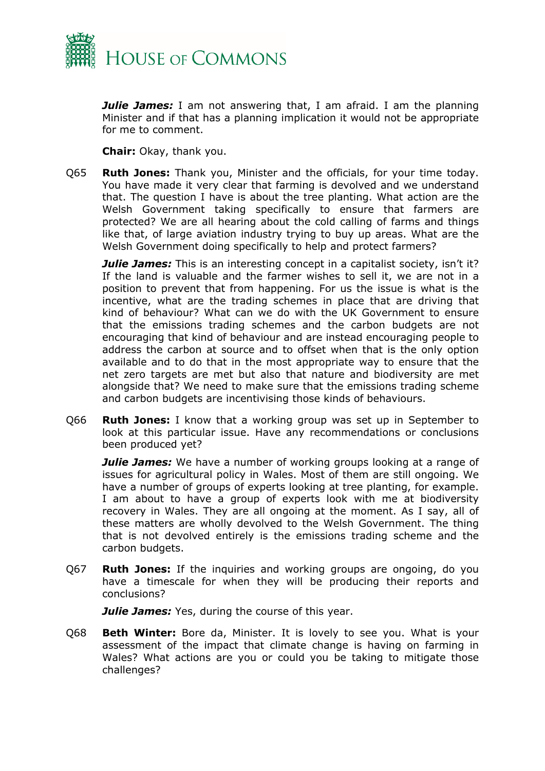

*Julie James:* I am not answering that, I am afraid. I am the planning Minister and if that has a planning implication it would not be appropriate for me to comment.

**Chair:** Okay, thank you.

Q65 **Ruth Jones:** Thank you, Minister and the officials, for your time today. You have made it very clear that farming is devolved and we understand that. The question I have is about the tree planting. What action are the Welsh Government taking specifically to ensure that farmers are protected? We are all hearing about the cold calling of farms and things like that, of large aviation industry trying to buy up areas. What are the Welsh Government doing specifically to help and protect farmers?

*Julie James:* This is an interesting concept in a capitalist society, isn't it? If the land is valuable and the farmer wishes to sell it, we are not in a position to prevent that from happening. For us the issue is what is the incentive, what are the trading schemes in place that are driving that kind of behaviour? What can we do with the UK Government to ensure that the emissions trading schemes and the carbon budgets are not encouraging that kind of behaviour and are instead encouraging people to address the carbon at source and to offset when that is the only option available and to do that in the most appropriate way to ensure that the net zero targets are met but also that nature and biodiversity are met alongside that? We need to make sure that the emissions trading scheme and carbon budgets are incentivising those kinds of behaviours.

Q66 **Ruth Jones:** I know that a working group was set up in September to look at this particular issue. Have any recommendations or conclusions been produced yet?

*Julie James:* We have a number of working groups looking at a range of issues for agricultural policy in Wales. Most of them are still ongoing. We have a number of groups of experts looking at tree planting, for example. I am about to have a group of experts look with me at biodiversity recovery in Wales. They are all ongoing at the moment. As I say, all of these matters are wholly devolved to the Welsh Government. The thing that is not devolved entirely is the emissions trading scheme and the carbon budgets.

Q67 **Ruth Jones:** If the inquiries and working groups are ongoing, do you have a timescale for when they will be producing their reports and conclusions?

*Julie James:* Yes, during the course of this year.

Q68 **Beth Winter:** Bore da, Minister. It is lovely to see you. What is your assessment of the impact that climate change is having on farming in Wales? What actions are you or could you be taking to mitigate those challenges?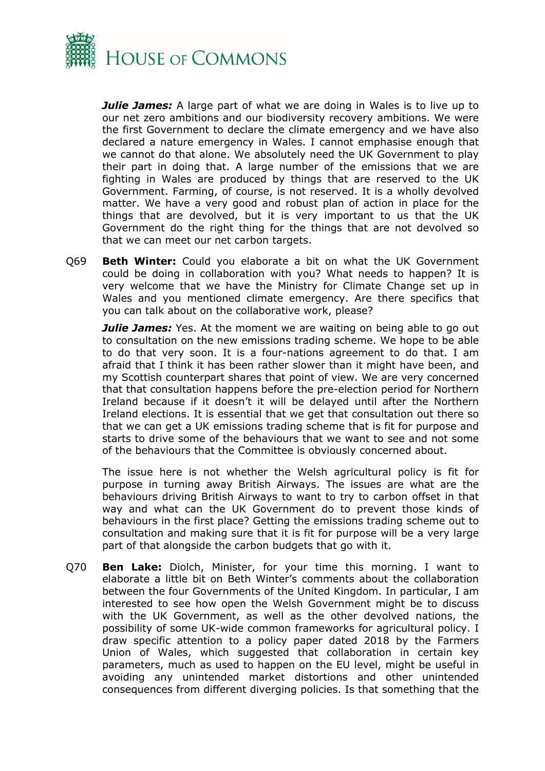

*Julie James:* A large part of what we are doing in Wales is to live up to our net zero ambitions and our biodiversity recovery ambitions. We were the first Government to declare the climate emergency and we have also declared a nature emergency in Wales. I cannot emphasise enough that we cannot do that alone. We absolutely need the UK Government to play their part in doing that. A large number of the emissions that we are fighting in Wales are produced by things that are reserved to the UK Government. Farming, of course, is not reserved. It is a wholly devolved matter. We have a very good and robust plan of action in place for the things that are devolved, but it is very important to us that the UK Government do the right thing for the things that are not devolved so that we can meet our net carbon targets.

Q69 **Beth Winter:** Could you elaborate a bit on what the UK Government could be doing in collaboration with you? What needs to happen? It is very welcome that we have the Ministry for Climate Change set up in Wales and you mentioned climate emergency. Are there specifics that you can talk about on the collaborative work, please?

*Julie James:* Yes. At the moment we are waiting on being able to go out to consultation on the new emissions trading scheme. We hope to be able to do that very soon. It is a four-nations agreement to do that. I am afraid that I think it has been rather slower than it might have been, and my Scottish counterpart shares that point of view. We are very concerned that that consultation happens before the pre-election period for Northern Ireland because if it doesn't it will be delayed until after the Northern Ireland elections. It is essential that we get that consultation out there so that we can get a UK emissions trading scheme that is fit for purpose and starts to drive some of the behaviours that we want to see and not some of the behaviours that the Committee is obviously concerned about.

The issue here is not whether the Welsh agricultural policy is fit for purpose in turning away British Airways. The issues are what are the behaviours driving British Airways to want to try to carbon offset in that way and what can the UK Government do to prevent those kinds of behaviours in the first place? Getting the emissions trading scheme out to consultation and making sure that it is fit for purpose will be a very large part of that alongside the carbon budgets that go with it.

Q70 **Ben Lake:** Diolch, Minister, for your time this morning. I want to elaborate a little bit on Beth Winter's comments about the collaboration between the four Governments of the United Kingdom. In particular, I am interested to see how open the Welsh Government might be to discuss with the UK Government, as well as the other devolved nations, the possibility of some UK-wide common frameworks for agricultural policy. I draw specific attention to a policy paper dated 2018 by the Farmers Union of Wales, which suggested that collaboration in certain key parameters, much as used to happen on the EU level, might be useful in avoiding any unintended market distortions and other unintended consequences from different diverging policies. Is that something that the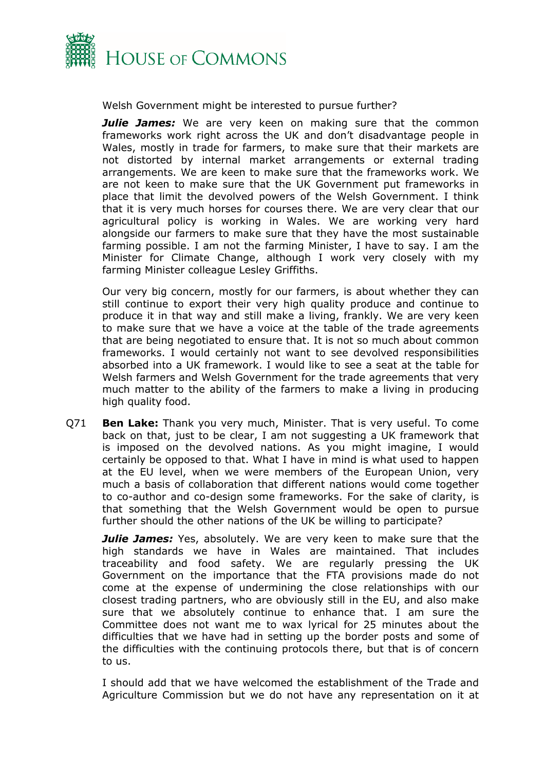

Welsh Government might be interested to pursue further?

**Julie James:** We are very keen on making sure that the common frameworks work right across the UK and don't disadvantage people in Wales, mostly in trade for farmers, to make sure that their markets are not distorted by internal market arrangements or external trading arrangements. We are keen to make sure that the frameworks work. We are not keen to make sure that the UK Government put frameworks in place that limit the devolved powers of the Welsh Government. I think that it is very much horses for courses there. We are very clear that our agricultural policy is working in Wales. We are working very hard alongside our farmers to make sure that they have the most sustainable farming possible. I am not the farming Minister, I have to say. I am the Minister for Climate Change, although I work very closely with my farming Minister colleague Lesley Griffiths.

Our very big concern, mostly for our farmers, is about whether they can still continue to export their very high quality produce and continue to produce it in that way and still make a living, frankly. We are very keen to make sure that we have a voice at the table of the trade agreements that are being negotiated to ensure that. It is not so much about common frameworks. I would certainly not want to see devolved responsibilities absorbed into a UK framework. I would like to see a seat at the table for Welsh farmers and Welsh Government for the trade agreements that very much matter to the ability of the farmers to make a living in producing high quality food.

Q71 **Ben Lake:** Thank you very much, Minister. That is very useful. To come back on that, just to be clear, I am not suggesting a UK framework that is imposed on the devolved nations. As you might imagine, I would certainly be opposed to that. What I have in mind is what used to happen at the EU level, when we were members of the European Union, very much a basis of collaboration that different nations would come together to co-author and co-design some frameworks. For the sake of clarity, is that something that the Welsh Government would be open to pursue further should the other nations of the UK be willing to participate?

*Julie James:* Yes, absolutely. We are very keen to make sure that the high standards we have in Wales are maintained. That includes traceability and food safety. We are regularly pressing the UK Government on the importance that the FTA provisions made do not come at the expense of undermining the close relationships with our closest trading partners, who are obviously still in the EU, and also make sure that we absolutely continue to enhance that. I am sure the Committee does not want me to wax lyrical for 25 minutes about the difficulties that we have had in setting up the border posts and some of the difficulties with the continuing protocols there, but that is of concern to us.

I should add that we have welcomed the establishment of the Trade and Agriculture Commission but we do not have any representation on it at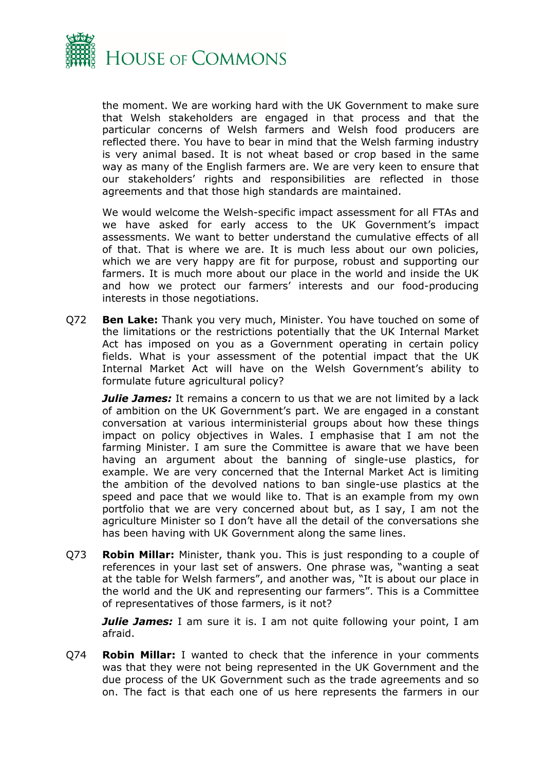

the moment. We are working hard with the UK Government to make sure that Welsh stakeholders are engaged in that process and that the particular concerns of Welsh farmers and Welsh food producers are reflected there. You have to bear in mind that the Welsh farming industry is very animal based. It is not wheat based or crop based in the same way as many of the English farmers are. We are very keen to ensure that our stakeholders' rights and responsibilities are reflected in those agreements and that those high standards are maintained.

We would welcome the Welsh-specific impact assessment for all FTAs and we have asked for early access to the UK Government's impact assessments. We want to better understand the cumulative effects of all of that. That is where we are. It is much less about our own policies, which we are very happy are fit for purpose, robust and supporting our farmers. It is much more about our place in the world and inside the UK and how we protect our farmers' interests and our food-producing interests in those negotiations.

Q72 **Ben Lake:** Thank you very much, Minister. You have touched on some of the limitations or the restrictions potentially that the UK Internal Market Act has imposed on you as a Government operating in certain policy fields. What is your assessment of the potential impact that the UK Internal Market Act will have on the Welsh Government's ability to formulate future agricultural policy?

*Julie James:* It remains a concern to us that we are not limited by a lack of ambition on the UK Government's part. We are engaged in a constant conversation at various interministerial groups about how these things impact on policy objectives in Wales. I emphasise that I am not the farming Minister. I am sure the Committee is aware that we have been having an argument about the banning of single-use plastics, for example. We are very concerned that the Internal Market Act is limiting the ambition of the devolved nations to ban single-use plastics at the speed and pace that we would like to. That is an example from my own portfolio that we are very concerned about but, as I say, I am not the agriculture Minister so I don't have all the detail of the conversations she has been having with UK Government along the same lines.

Q73 **Robin Millar:** Minister, thank you. This is just responding to a couple of references in your last set of answers. One phrase was, "wanting a seat at the table for Welsh farmers", and another was, "It is about our place in the world and the UK and representing our farmers". This is a Committee of representatives of those farmers, is it not?

*Julie James:* I am sure it is. I am not quite following your point, I am afraid.

Q74 **Robin Millar:** I wanted to check that the inference in your comments was that they were not being represented in the UK Government and the due process of the UK Government such as the trade agreements and so on. The fact is that each one of us here represents the farmers in our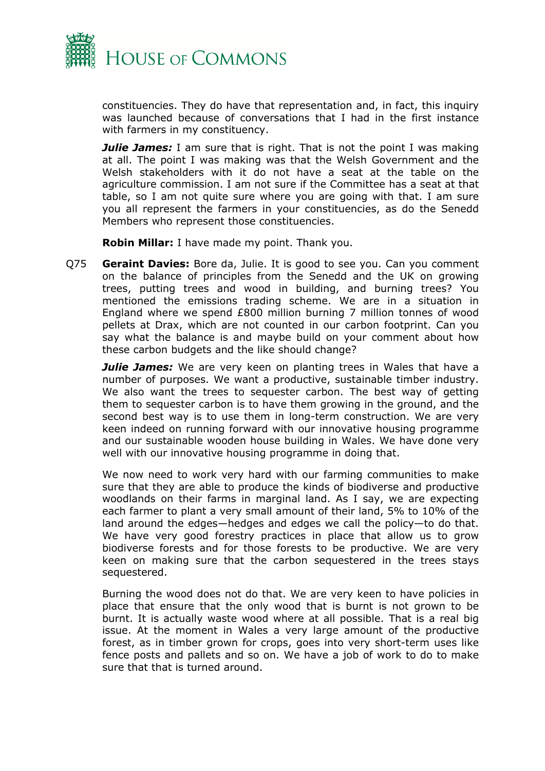

constituencies. They do have that representation and, in fact, this inquiry was launched because of conversations that I had in the first instance with farmers in my constituency.

*Julie James:* I am sure that is right. That is not the point I was making at all. The point I was making was that the Welsh Government and the Welsh stakeholders with it do not have a seat at the table on the agriculture commission. I am not sure if the Committee has a seat at that table, so I am not quite sure where you are going with that. I am sure you all represent the farmers in your constituencies, as do the Senedd Members who represent those constituencies.

**Robin Millar:** I have made my point. Thank you.

Q75 **Geraint Davies:** Bore da, Julie. It is good to see you. Can you comment on the balance of principles from the Senedd and the UK on growing trees, putting trees and wood in building, and burning trees? You mentioned the emissions trading scheme. We are in a situation in England where we spend £800 million burning 7 million tonnes of wood pellets at Drax, which are not counted in our carbon footprint. Can you say what the balance is and maybe build on your comment about how these carbon budgets and the like should change?

*Julie James:* We are very keen on planting trees in Wales that have a number of purposes. We want a productive, sustainable timber industry. We also want the trees to sequester carbon. The best way of getting them to sequester carbon is to have them growing in the ground, and the second best way is to use them in long-term construction. We are very keen indeed on running forward with our innovative housing programme and our sustainable wooden house building in Wales. We have done very well with our innovative housing programme in doing that.

We now need to work very hard with our farming communities to make sure that they are able to produce the kinds of biodiverse and productive woodlands on their farms in marginal land. As I say, we are expecting each farmer to plant a very small amount of their land, 5% to 10% of the land around the edges—hedges and edges we call the policy—to do that. We have very good forestry practices in place that allow us to grow biodiverse forests and for those forests to be productive. We are very keen on making sure that the carbon sequestered in the trees stays sequestered.

Burning the wood does not do that. We are very keen to have policies in place that ensure that the only wood that is burnt is not grown to be burnt. It is actually waste wood where at all possible. That is a real big issue. At the moment in Wales a very large amount of the productive forest, as in timber grown for crops, goes into very short-term uses like fence posts and pallets and so on. We have a job of work to do to make sure that that is turned around.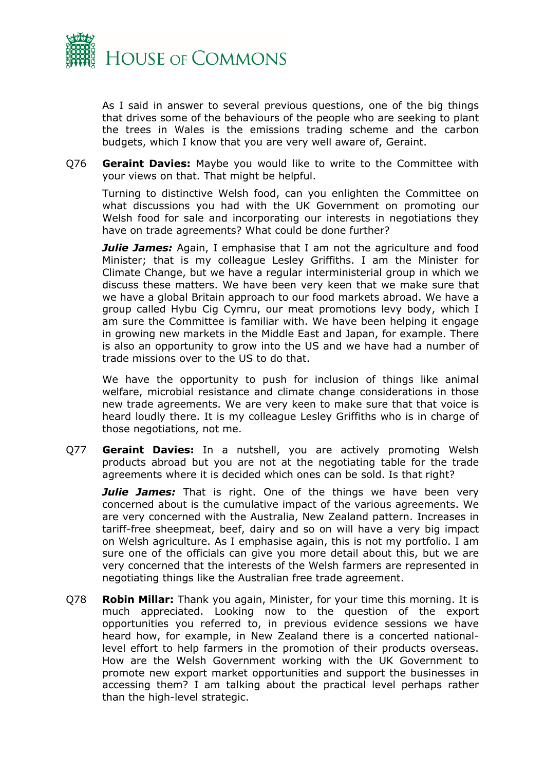

As I said in answer to several previous questions, one of the big things that drives some of the behaviours of the people who are seeking to plant the trees in Wales is the emissions trading scheme and the carbon budgets, which I know that you are very well aware of, Geraint.

Q76 **Geraint Davies:** Maybe you would like to write to the Committee with your views on that. That might be helpful.

Turning to distinctive Welsh food, can you enlighten the Committee on what discussions you had with the UK Government on promoting our Welsh food for sale and incorporating our interests in negotiations they have on trade agreements? What could be done further?

**Julie James:** Again, I emphasise that I am not the agriculture and food Minister; that is my colleague Lesley Griffiths. I am the Minister for Climate Change, but we have a regular interministerial group in which we discuss these matters. We have been very keen that we make sure that we have a global Britain approach to our food markets abroad. We have a group called Hybu Cig Cymru, our meat promotions levy body, which I am sure the Committee is familiar with. We have been helping it engage in growing new markets in the Middle East and Japan, for example. There is also an opportunity to grow into the US and we have had a number of trade missions over to the US to do that.

We have the opportunity to push for inclusion of things like animal welfare, microbial resistance and climate change considerations in those new trade agreements. We are very keen to make sure that that voice is heard loudly there. It is my colleague Lesley Griffiths who is in charge of those negotiations, not me.

Q77 **Geraint Davies:** In a nutshell, you are actively promoting Welsh products abroad but you are not at the negotiating table for the trade agreements where it is decided which ones can be sold. Is that right?

*Julie James:* That is right. One of the things we have been very concerned about is the cumulative impact of the various agreements. We are very concerned with the Australia, New Zealand pattern. Increases in tariff-free sheepmeat, beef, dairy and so on will have a very big impact on Welsh agriculture. As I emphasise again, this is not my portfolio. I am sure one of the officials can give you more detail about this, but we are very concerned that the interests of the Welsh farmers are represented in negotiating things like the Australian free trade agreement.

Q78 **Robin Millar:** Thank you again, Minister, for your time this morning. It is much appreciated. Looking now to the question of the export opportunities you referred to, in previous evidence sessions we have heard how, for example, in New Zealand there is a concerted nationallevel effort to help farmers in the promotion of their products overseas. How are the Welsh Government working with the UK Government to promote new export market opportunities and support the businesses in accessing them? I am talking about the practical level perhaps rather than the high-level strategic.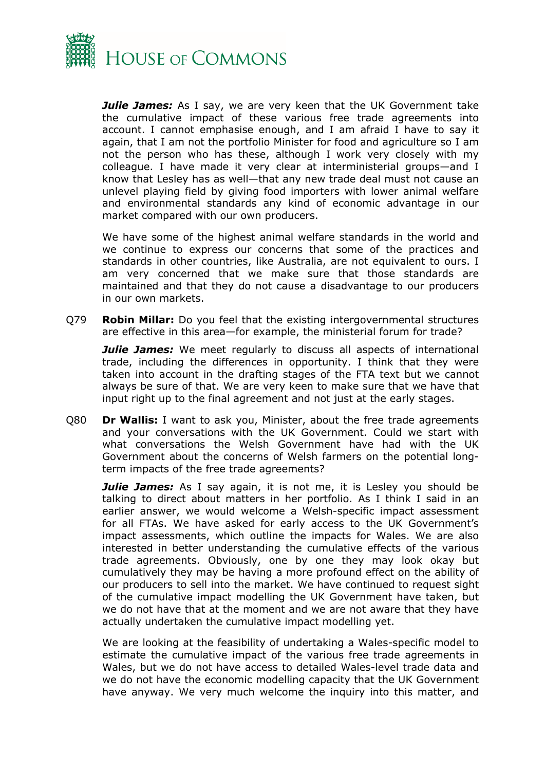

*Julie James:* As I say, we are very keen that the UK Government take the cumulative impact of these various free trade agreements into account. I cannot emphasise enough, and I am afraid I have to say it again, that I am not the portfolio Minister for food and agriculture so I am not the person who has these, although I work very closely with my colleague. I have made it very clear at interministerial groups—and I know that Lesley has as well—that any new trade deal must not cause an unlevel playing field by giving food importers with lower animal welfare and environmental standards any kind of economic advantage in our market compared with our own producers.

We have some of the highest animal welfare standards in the world and we continue to express our concerns that some of the practices and standards in other countries, like Australia, are not equivalent to ours. I am very concerned that we make sure that those standards are maintained and that they do not cause a disadvantage to our producers in our own markets.

Q79 **Robin Millar:** Do you feel that the existing intergovernmental structures are effective in this area—for example, the ministerial forum for trade?

**Julie James:** We meet regularly to discuss all aspects of international trade, including the differences in opportunity. I think that they were taken into account in the drafting stages of the FTA text but we cannot always be sure of that. We are very keen to make sure that we have that input right up to the final agreement and not just at the early stages.

Q80 **Dr Wallis:** I want to ask you, Minister, about the free trade agreements and your conversations with the UK Government. Could we start with what conversations the Welsh Government have had with the UK Government about the concerns of Welsh farmers on the potential longterm impacts of the free trade agreements?

*Julie James:* As I say again, it is not me, it is Lesley you should be talking to direct about matters in her portfolio. As I think I said in an earlier answer, we would welcome a Welsh-specific impact assessment for all FTAs. We have asked for early access to the UK Government's impact assessments, which outline the impacts for Wales. We are also interested in better understanding the cumulative effects of the various trade agreements. Obviously, one by one they may look okay but cumulatively they may be having a more profound effect on the ability of our producers to sell into the market. We have continued to request sight of the cumulative impact modelling the UK Government have taken, but we do not have that at the moment and we are not aware that they have actually undertaken the cumulative impact modelling yet.

We are looking at the feasibility of undertaking a Wales-specific model to estimate the cumulative impact of the various free trade agreements in Wales, but we do not have access to detailed Wales-level trade data and we do not have the economic modelling capacity that the UK Government have anyway. We very much welcome the inquiry into this matter, and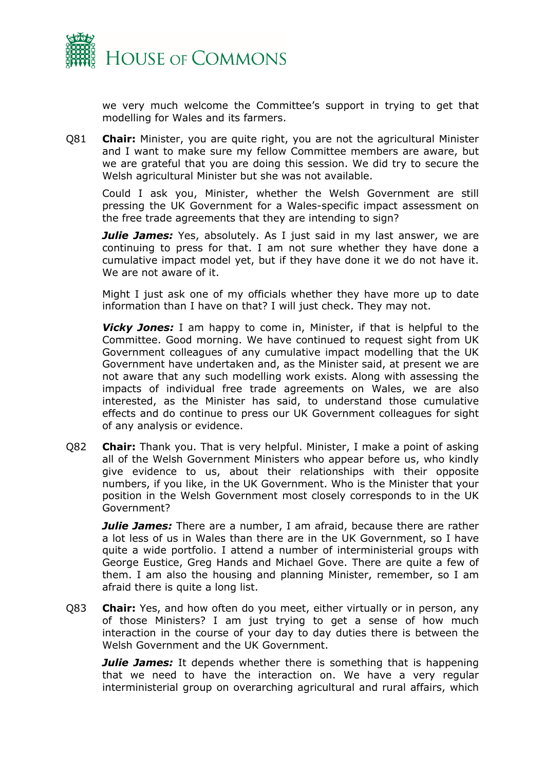

we very much welcome the Committee's support in trying to get that modelling for Wales and its farmers.

Q81 **Chair:** Minister, you are quite right, you are not the agricultural Minister and I want to make sure my fellow Committee members are aware, but we are grateful that you are doing this session. We did try to secure the Welsh agricultural Minister but she was not available.

Could I ask you, Minister, whether the Welsh Government are still pressing the UK Government for a Wales-specific impact assessment on the free trade agreements that they are intending to sign?

*Julie James:* Yes, absolutely. As I just said in my last answer, we are continuing to press for that. I am not sure whether they have done a cumulative impact model yet, but if they have done it we do not have it. We are not aware of it.

Might I just ask one of my officials whether they have more up to date information than I have on that? I will just check. They may not.

*Vicky Jones:* I am happy to come in, Minister, if that is helpful to the Committee. Good morning. We have continued to request sight from UK Government colleagues of any cumulative impact modelling that the UK Government have undertaken and, as the Minister said, at present we are not aware that any such modelling work exists. Along with assessing the impacts of individual free trade agreements on Wales, we are also interested, as the Minister has said, to understand those cumulative effects and do continue to press our UK Government colleagues for sight of any analysis or evidence.

Q82 **Chair:** Thank you. That is very helpful. Minister, I make a point of asking all of the Welsh Government Ministers who appear before us, who kindly give evidence to us, about their relationships with their opposite numbers, if you like, in the UK Government. Who is the Minister that your position in the Welsh Government most closely corresponds to in the UK Government?

*Julie James:* There are a number, I am afraid, because there are rather a lot less of us in Wales than there are in the UK Government, so I have quite a wide portfolio. I attend a number of interministerial groups with George Eustice, Greg Hands and Michael Gove. There are quite a few of them. I am also the housing and planning Minister, remember, so I am afraid there is quite a long list.

Q83 **Chair:** Yes, and how often do you meet, either virtually or in person, any of those Ministers? I am just trying to get a sense of how much interaction in the course of your day to day duties there is between the Welsh Government and the UK Government.

*Julie James:* It depends whether there is something that is happening that we need to have the interaction on. We have a very regular interministerial group on overarching agricultural and rural affairs, which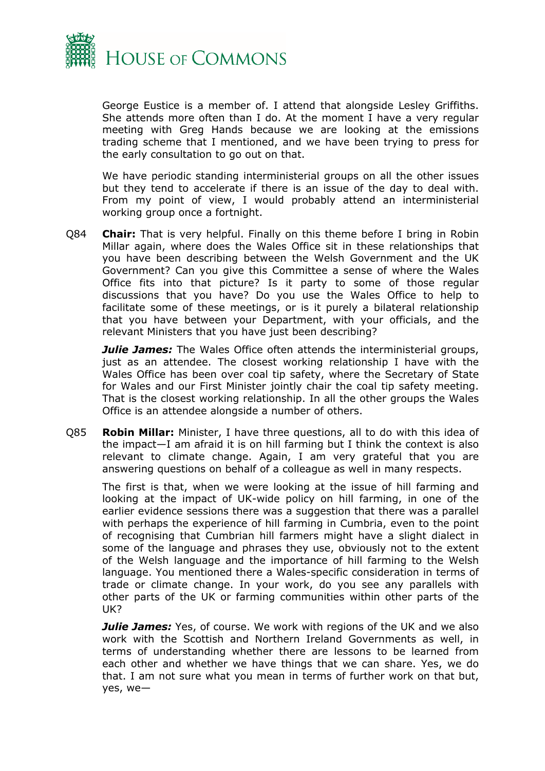

George Eustice is a member of. I attend that alongside Lesley Griffiths. She attends more often than I do. At the moment I have a very regular meeting with Greg Hands because we are looking at the emissions trading scheme that I mentioned, and we have been trying to press for the early consultation to go out on that.

We have periodic standing interministerial groups on all the other issues but they tend to accelerate if there is an issue of the day to deal with. From my point of view, I would probably attend an interministerial working group once a fortnight.

Q84 **Chair:** That is very helpful. Finally on this theme before I bring in Robin Millar again, where does the Wales Office sit in these relationships that you have been describing between the Welsh Government and the UK Government? Can you give this Committee a sense of where the Wales Office fits into that picture? Is it party to some of those regular discussions that you have? Do you use the Wales Office to help to facilitate some of these meetings, or is it purely a bilateral relationship that you have between your Department, with your officials, and the relevant Ministers that you have just been describing?

*Julie James:* The Wales Office often attends the interministerial groups, just as an attendee. The closest working relationship I have with the Wales Office has been over coal tip safety, where the Secretary of State for Wales and our First Minister jointly chair the coal tip safety meeting. That is the closest working relationship. In all the other groups the Wales Office is an attendee alongside a number of others.

Q85 **Robin Millar:** Minister, I have three questions, all to do with this idea of the impact—I am afraid it is on hill farming but I think the context is also relevant to climate change. Again, I am very grateful that you are answering questions on behalf of a colleague as well in many respects.

The first is that, when we were looking at the issue of hill farming and looking at the impact of UK-wide policy on hill farming, in one of the earlier evidence sessions there was a suggestion that there was a parallel with perhaps the experience of hill farming in Cumbria, even to the point of recognising that Cumbrian hill farmers might have a slight dialect in some of the language and phrases they use, obviously not to the extent of the Welsh language and the importance of hill farming to the Welsh language. You mentioned there a Wales-specific consideration in terms of trade or climate change. In your work, do you see any parallels with other parts of the UK or farming communities within other parts of the UK?

*Julie James:* Yes, of course. We work with regions of the UK and we also work with the Scottish and Northern Ireland Governments as well, in terms of understanding whether there are lessons to be learned from each other and whether we have things that we can share. Yes, we do that. I am not sure what you mean in terms of further work on that but, yes, we—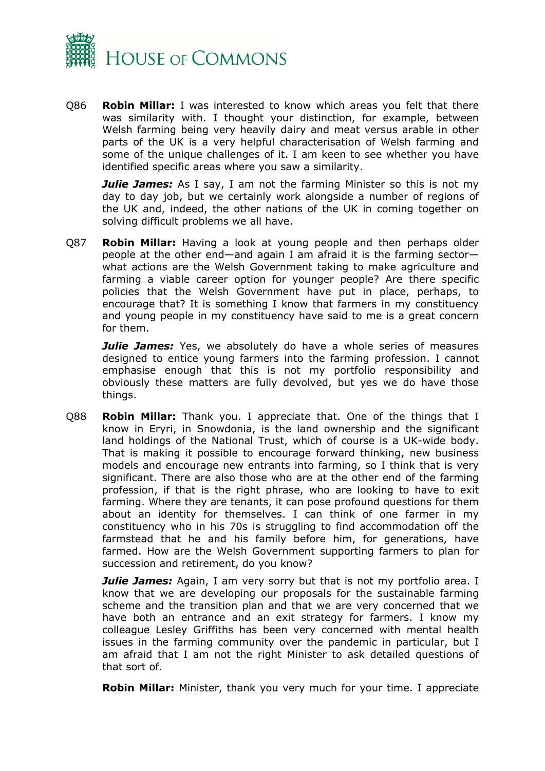

Q86 **Robin Millar:** I was interested to know which areas you felt that there was similarity with. I thought your distinction, for example, between Welsh farming being very heavily dairy and meat versus arable in other parts of the UK is a very helpful characterisation of Welsh farming and some of the unique challenges of it. I am keen to see whether you have identified specific areas where you saw a similarity.

**Julie James:** As I say, I am not the farming Minister so this is not my day to day job, but we certainly work alongside a number of regions of the UK and, indeed, the other nations of the UK in coming together on solving difficult problems we all have.

Q87 **Robin Millar:** Having a look at young people and then perhaps older people at the other end—and again I am afraid it is the farming sector what actions are the Welsh Government taking to make agriculture and farming a viable career option for younger people? Are there specific policies that the Welsh Government have put in place, perhaps, to encourage that? It is something I know that farmers in my constituency and young people in my constituency have said to me is a great concern for them.

*Julie James:* Yes, we absolutely do have a whole series of measures designed to entice young farmers into the farming profession. I cannot emphasise enough that this is not my portfolio responsibility and obviously these matters are fully devolved, but yes we do have those things.

Q88 **Robin Millar:** Thank you. I appreciate that. One of the things that I know in Eryri, in Snowdonia, is the land ownership and the significant land holdings of the National Trust, which of course is a UK-wide body. That is making it possible to encourage forward thinking, new business models and encourage new entrants into farming, so I think that is very significant. There are also those who are at the other end of the farming profession, if that is the right phrase, who are looking to have to exit farming. Where they are tenants, it can pose profound questions for them about an identity for themselves. I can think of one farmer in my constituency who in his 70s is struggling to find accommodation off the farmstead that he and his family before him, for generations, have farmed. How are the Welsh Government supporting farmers to plan for succession and retirement, do you know?

*Julie James:* Again, I am very sorry but that is not my portfolio area. I know that we are developing our proposals for the sustainable farming scheme and the transition plan and that we are very concerned that we have both an entrance and an exit strategy for farmers. I know my colleague Lesley Griffiths has been very concerned with mental health issues in the farming community over the pandemic in particular, but I am afraid that I am not the right Minister to ask detailed questions of that sort of.

**Robin Millar:** Minister, thank you very much for your time. I appreciate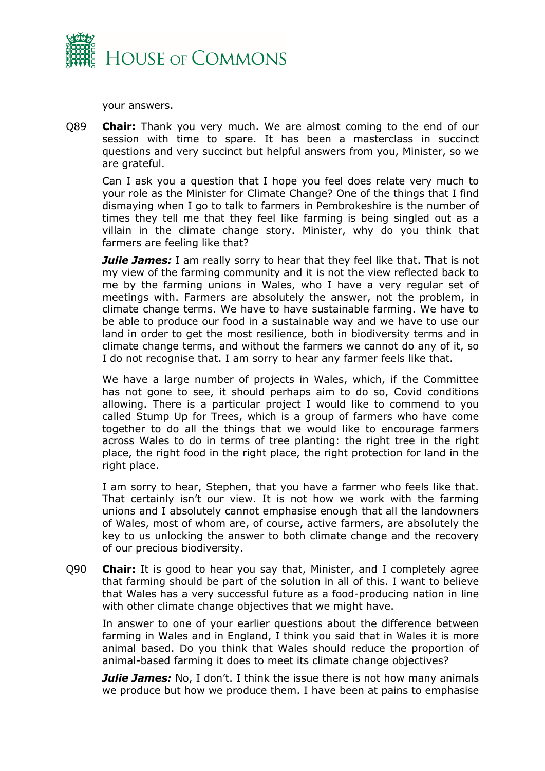

your answers.

Q89 **Chair:** Thank you very much. We are almost coming to the end of our session with time to spare. It has been a masterclass in succinct questions and very succinct but helpful answers from you, Minister, so we are grateful.

Can I ask you a question that I hope you feel does relate very much to your role as the Minister for Climate Change? One of the things that I find dismaying when I go to talk to farmers in Pembrokeshire is the number of times they tell me that they feel like farming is being singled out as a villain in the climate change story. Minister, why do you think that farmers are feeling like that?

*Julie James:* I am really sorry to hear that they feel like that. That is not my view of the farming community and it is not the view reflected back to me by the farming unions in Wales, who I have a very regular set of meetings with. Farmers are absolutely the answer, not the problem, in climate change terms. We have to have sustainable farming. We have to be able to produce our food in a sustainable way and we have to use our land in order to get the most resilience, both in biodiversity terms and in climate change terms, and without the farmers we cannot do any of it, so I do not recognise that. I am sorry to hear any farmer feels like that.

We have a large number of projects in Wales, which, if the Committee has not gone to see, it should perhaps aim to do so, Covid conditions allowing. There is a particular project I would like to commend to you called Stump Up for Trees, which is a group of farmers who have come together to do all the things that we would like to encourage farmers across Wales to do in terms of tree planting: the right tree in the right place, the right food in the right place, the right protection for land in the right place.

I am sorry to hear, Stephen, that you have a farmer who feels like that. That certainly isn't our view. It is not how we work with the farming unions and I absolutely cannot emphasise enough that all the landowners of Wales, most of whom are, of course, active farmers, are absolutely the key to us unlocking the answer to both climate change and the recovery of our precious biodiversity.

Q90 **Chair:** It is good to hear you say that, Minister, and I completely agree that farming should be part of the solution in all of this. I want to believe that Wales has a very successful future as a food-producing nation in line with other climate change objectives that we might have.

In answer to one of your earlier questions about the difference between farming in Wales and in England, I think you said that in Wales it is more animal based. Do you think that Wales should reduce the proportion of animal-based farming it does to meet its climate change objectives?

*Julie James:* No, I don't. I think the issue there is not how many animals we produce but how we produce them. I have been at pains to emphasise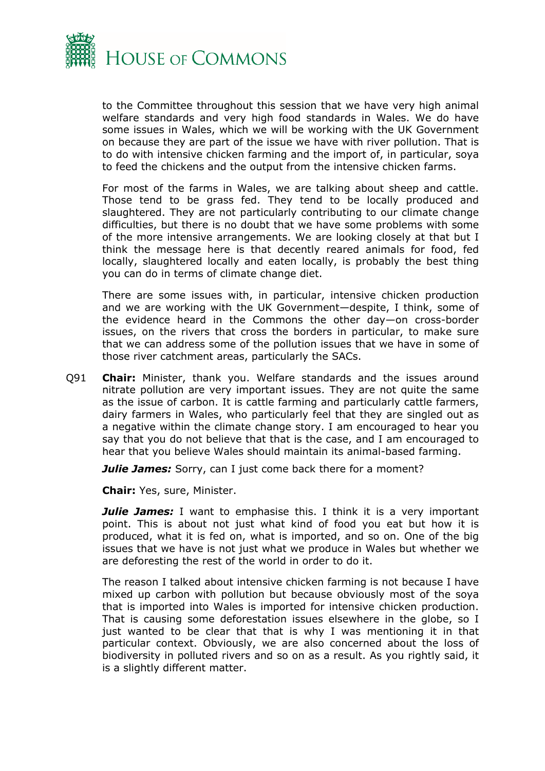

to the Committee throughout this session that we have very high animal welfare standards and very high food standards in Wales. We do have some issues in Wales, which we will be working with the UK Government on because they are part of the issue we have with river pollution. That is to do with intensive chicken farming and the import of, in particular, soya to feed the chickens and the output from the intensive chicken farms.

For most of the farms in Wales, we are talking about sheep and cattle. Those tend to be grass fed. They tend to be locally produced and slaughtered. They are not particularly contributing to our climate change difficulties, but there is no doubt that we have some problems with some of the more intensive arrangements. We are looking closely at that but I think the message here is that decently reared animals for food, fed locally, slaughtered locally and eaten locally, is probably the best thing you can do in terms of climate change diet.

There are some issues with, in particular, intensive chicken production and we are working with the UK Government—despite, I think, some of the evidence heard in the Commons the other day—on cross-border issues, on the rivers that cross the borders in particular, to make sure that we can address some of the pollution issues that we have in some of those river catchment areas, particularly the SACs.

Q91 **Chair:** Minister, thank you. Welfare standards and the issues around nitrate pollution are very important issues. They are not quite the same as the issue of carbon. It is cattle farming and particularly cattle farmers, dairy farmers in Wales, who particularly feel that they are singled out as a negative within the climate change story. I am encouraged to hear you say that you do not believe that that is the case, and I am encouraged to hear that you believe Wales should maintain its animal-based farming.

*Julie James:* Sorry, can I just come back there for a moment?

**Chair:** Yes, sure, Minister.

*Julie James:* I want to emphasise this. I think it is a very important point. This is about not just what kind of food you eat but how it is produced, what it is fed on, what is imported, and so on. One of the big issues that we have is not just what we produce in Wales but whether we are deforesting the rest of the world in order to do it.

The reason I talked about intensive chicken farming is not because I have mixed up carbon with pollution but because obviously most of the soya that is imported into Wales is imported for intensive chicken production. That is causing some deforestation issues elsewhere in the globe, so I just wanted to be clear that that is why I was mentioning it in that particular context. Obviously, we are also concerned about the loss of biodiversity in polluted rivers and so on as a result. As you rightly said, it is a slightly different matter.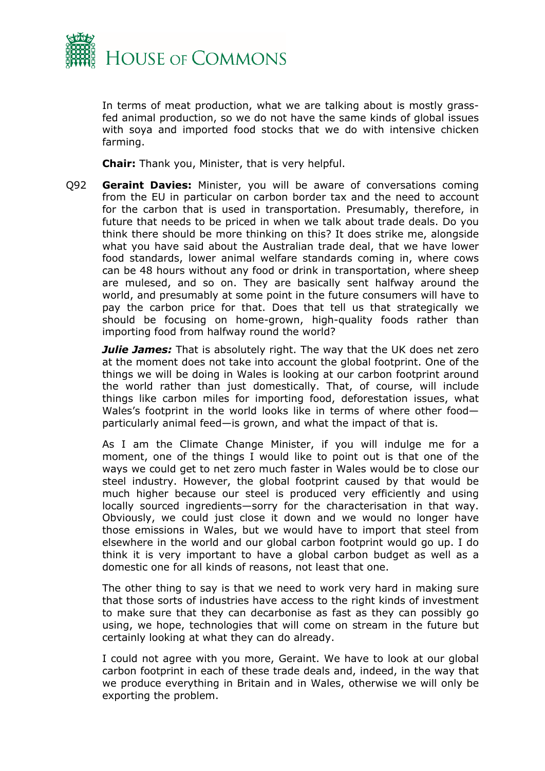

In terms of meat production, what we are talking about is mostly grassfed animal production, so we do not have the same kinds of global issues with soya and imported food stocks that we do with intensive chicken farming.

**Chair:** Thank you, Minister, that is very helpful.

Q92 **Geraint Davies:** Minister, you will be aware of conversations coming from the EU in particular on carbon border tax and the need to account for the carbon that is used in transportation. Presumably, therefore, in future that needs to be priced in when we talk about trade deals. Do you think there should be more thinking on this? It does strike me, alongside what you have said about the Australian trade deal, that we have lower food standards, lower animal welfare standards coming in, where cows can be 48 hours without any food or drink in transportation, where sheep are mulesed, and so on. They are basically sent halfway around the world, and presumably at some point in the future consumers will have to pay the carbon price for that. Does that tell us that strategically we should be focusing on home-grown, high-quality foods rather than importing food from halfway round the world?

*Julie James:* That is absolutely right. The way that the UK does net zero at the moment does not take into account the global footprint. One of the things we will be doing in Wales is looking at our carbon footprint around the world rather than just domestically. That, of course, will include things like carbon miles for importing food, deforestation issues, what Wales's footprint in the world looks like in terms of where other food particularly animal feed—is grown, and what the impact of that is.

As I am the Climate Change Minister, if you will indulge me for a moment, one of the things I would like to point out is that one of the ways we could get to net zero much faster in Wales would be to close our steel industry. However, the global footprint caused by that would be much higher because our steel is produced very efficiently and using locally sourced ingredients—sorry for the characterisation in that way. Obviously, we could just close it down and we would no longer have those emissions in Wales, but we would have to import that steel from elsewhere in the world and our global carbon footprint would go up. I do think it is very important to have a global carbon budget as well as a domestic one for all kinds of reasons, not least that one.

The other thing to say is that we need to work very hard in making sure that those sorts of industries have access to the right kinds of investment to make sure that they can decarbonise as fast as they can possibly go using, we hope, technologies that will come on stream in the future but certainly looking at what they can do already.

I could not agree with you more, Geraint. We have to look at our global carbon footprint in each of these trade deals and, indeed, in the way that we produce everything in Britain and in Wales, otherwise we will only be exporting the problem.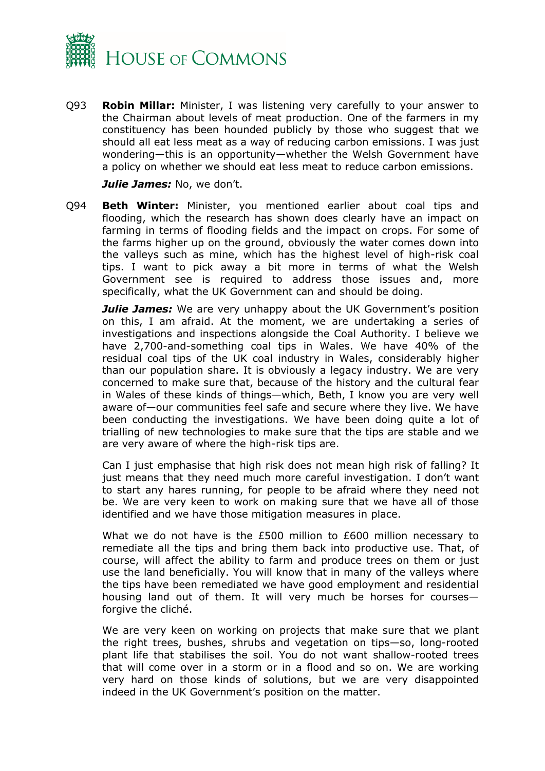

Q93 **Robin Millar:** Minister, I was listening very carefully to your answer to the Chairman about levels of meat production. One of the farmers in my constituency has been hounded publicly by those who suggest that we should all eat less meat as a way of reducing carbon emissions. I was just wondering—this is an opportunity—whether the Welsh Government have a policy on whether we should eat less meat to reduce carbon emissions.

*Julie James:* No, we don't.

Q94 **Beth Winter:** Minister, you mentioned earlier about coal tips and flooding, which the research has shown does clearly have an impact on farming in terms of flooding fields and the impact on crops. For some of the farms higher up on the ground, obviously the water comes down into the valleys such as mine, which has the highest level of high-risk coal tips. I want to pick away a bit more in terms of what the Welsh Government see is required to address those issues and, more specifically, what the UK Government can and should be doing.

*Julie James:* We are very unhappy about the UK Government's position on this, I am afraid. At the moment, we are undertaking a series of investigations and inspections alongside the Coal Authority. I believe we have 2,700-and-something coal tips in Wales. We have 40% of the residual coal tips of the UK coal industry in Wales, considerably higher than our population share. It is obviously a legacy industry. We are very concerned to make sure that, because of the history and the cultural fear in Wales of these kinds of things—which, Beth, I know you are very well aware of—our communities feel safe and secure where they live. We have been conducting the investigations. We have been doing quite a lot of trialling of new technologies to make sure that the tips are stable and we are very aware of where the high-risk tips are.

Can I just emphasise that high risk does not mean high risk of falling? It just means that they need much more careful investigation. I don't want to start any hares running, for people to be afraid where they need not be. We are very keen to work on making sure that we have all of those identified and we have those mitigation measures in place.

What we do not have is the £500 million to £600 million necessary to remediate all the tips and bring them back into productive use. That, of course, will affect the ability to farm and produce trees on them or just use the land beneficially. You will know that in many of the valleys where the tips have been remediated we have good employment and residential housing land out of them. It will very much be horses for courses forgive the cliché.

We are very keen on working on projects that make sure that we plant the right trees, bushes, shrubs and vegetation on tips—so, long-rooted plant life that stabilises the soil. You do not want shallow-rooted trees that will come over in a storm or in a flood and so on. We are working very hard on those kinds of solutions, but we are very disappointed indeed in the UK Government's position on the matter.